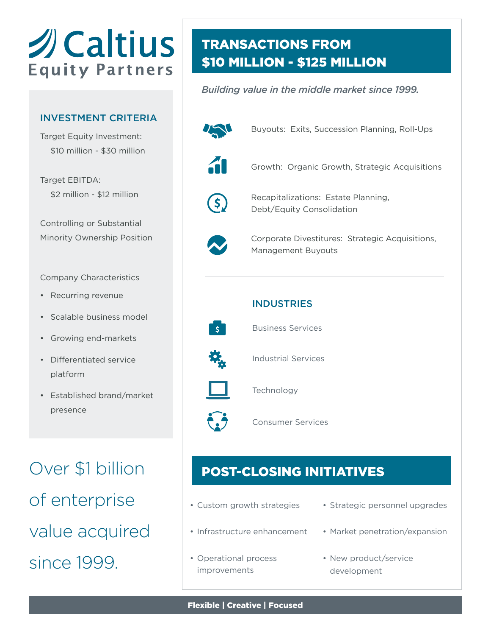# *<u>ACaltius</u>* **Equity Partners**

#### INVESTMENT CRITERIA

Target Equity Investment: \$10 million - \$30 million

Target EBITDA: \$2 million - \$12 million

Controlling or Substantial Minority Ownership Position

Company Characteristics

- Recurring revenue
- Scalable business model
- Growing end-markets
- Differentiated service platform
- Established brand/market presence

Over \$1 billion of enterprise value acquired since 1999.

## TRANSACTIONS FROM \$10 MILLION - \$125 MILLION

#### *Building value in the middle market since 1999.*



Buyouts: Exits, Succession Planning, Roll-Ups



Growth: Organic Growth, Strategic Acquisitions



Recapitalizations: Estate Planning, Debt/Equity Consolidation



Corporate Divestitures: Strategic Acquisitions, Management Buyouts



Business Services



່ເ∃

Industrial Services



Technology

Consumer Services

## POST-CLOSING INITIATIVES

- Custom growth strategies
- Infrastructure enhancement
- Operational process improvements
- Strategic personnel upgrades
- Market penetration/expansion
- New product/service development